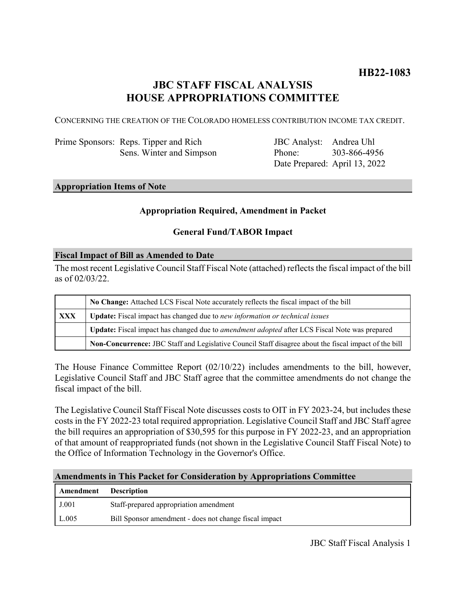## **JBC STAFF FISCAL ANALYSIS HOUSE APPROPRIATIONS COMMITTEE**

CONCERNING THE CREATION OF THE COLORADO HOMELESS CONTRIBUTION INCOME TAX CREDIT.

Prime Sponsors: Reps. Tipper and Rich Sens. Winter and Simpson

JBC Analyst: Andrea Uhl Phone: Date Prepared: April 13, 2022 303-866-4956

### **Appropriation Items of Note**

#### **Appropriation Required, Amendment in Packet**

#### **General Fund/TABOR Impact**

#### **Fiscal Impact of Bill as Amended to Date**

The most recent Legislative Council Staff Fiscal Note (attached) reflects the fiscal impact of the bill as of 02/03/22.

|     | No Change: Attached LCS Fiscal Note accurately reflects the fiscal impact of the bill                       |
|-----|-------------------------------------------------------------------------------------------------------------|
| XXX | Update: Fiscal impact has changed due to new information or technical issues                                |
|     | <b>Update:</b> Fiscal impact has changed due to <i>amendment adopted</i> after LCS Fiscal Note was prepared |
|     | Non-Concurrence: JBC Staff and Legislative Council Staff disagree about the fiscal impact of the bill       |

The House Finance Committee Report (02/10/22) includes amendments to the bill, however, Legislative Council Staff and JBC Staff agree that the committee amendments do not change the fiscal impact of the bill.

The Legislative Council Staff Fiscal Note discusses costs to OIT in FY 2023-24, but includes these costs in the FY 2022-23 total required appropriation. Legislative Council Staff and JBC Staff agree the bill requires an appropriation of \$30,595 for this purpose in FY 2022-23, and an appropriation of that amount of reappropriated funds (not shown in the Legislative Council Staff Fiscal Note) to the Office of Information Technology in the Governor's Office.

#### **Amendments in This Packet for Consideration by Appropriations Committee**

| <b>Amendment</b> Description |                                                        |
|------------------------------|--------------------------------------------------------|
| J.001                        | Staff-prepared appropriation amendment                 |
| L.005                        | Bill Sponsor amendment - does not change fiscal impact |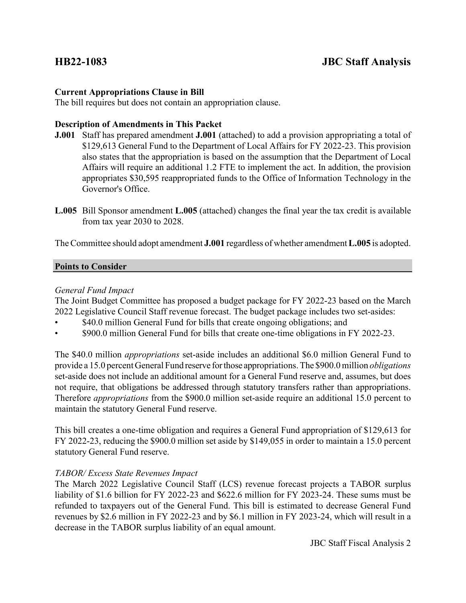### **Current Appropriations Clause in Bill**

The bill requires but does not contain an appropriation clause.

### **Description of Amendments in This Packet**

- **J.001** Staff has prepared amendment **J.001** (attached) to add a provision appropriating a total of \$129,613 General Fund to the Department of Local Affairs for FY 2022-23. This provision also states that the appropriation is based on the assumption that the Department of Local Affairs will require an additional 1.2 FTE to implement the act. In addition, the provision appropriates \$30,595 reappropriated funds to the Office of Information Technology in the Governor's Office.
- **L.005** Bill Sponsor amendment **L.005** (attached) changes the final year the tax credit is available from tax year 2030 to 2028.

The Committee should adopt amendment **J.001** regardless of whether amendment **L.005** is adopted.

#### **Points to Consider**

#### *General Fund Impact*

The Joint Budget Committee has proposed a budget package for FY 2022-23 based on the March 2022 Legislative Council Staff revenue forecast. The budget package includes two set-asides:

- \$40.0 million General Fund for bills that create ongoing obligations; and
- \$900.0 million General Fund for bills that create one-time obligations in FY 2022-23.

The \$40.0 million *appropriations* set-aside includes an additional \$6.0 million General Fund to provide a 15.0 percent General Fund reserve for those appropriations. The \$900.0 million *obligations* set-aside does not include an additional amount for a General Fund reserve and, assumes, but does not require, that obligations be addressed through statutory transfers rather than appropriations. Therefore *appropriations* from the \$900.0 million set-aside require an additional 15.0 percent to maintain the statutory General Fund reserve.

This bill creates a one-time obligation and requires a General Fund appropriation of \$129,613 for FY 2022-23, reducing the \$900.0 million set aside by \$149,055 in order to maintain a 15.0 percent statutory General Fund reserve.

### *TABOR/ Excess State Revenues Impact*

The March 2022 Legislative Council Staff (LCS) revenue forecast projects a TABOR surplus liability of \$1.6 billion for FY 2022-23 and \$622.6 million for FY 2023-24. These sums must be refunded to taxpayers out of the General Fund. This bill is estimated to decrease General Fund revenues by \$2.6 million in FY 2022-23 and by \$6.1 million in FY 2023-24, which will result in a decrease in the TABOR surplus liability of an equal amount.